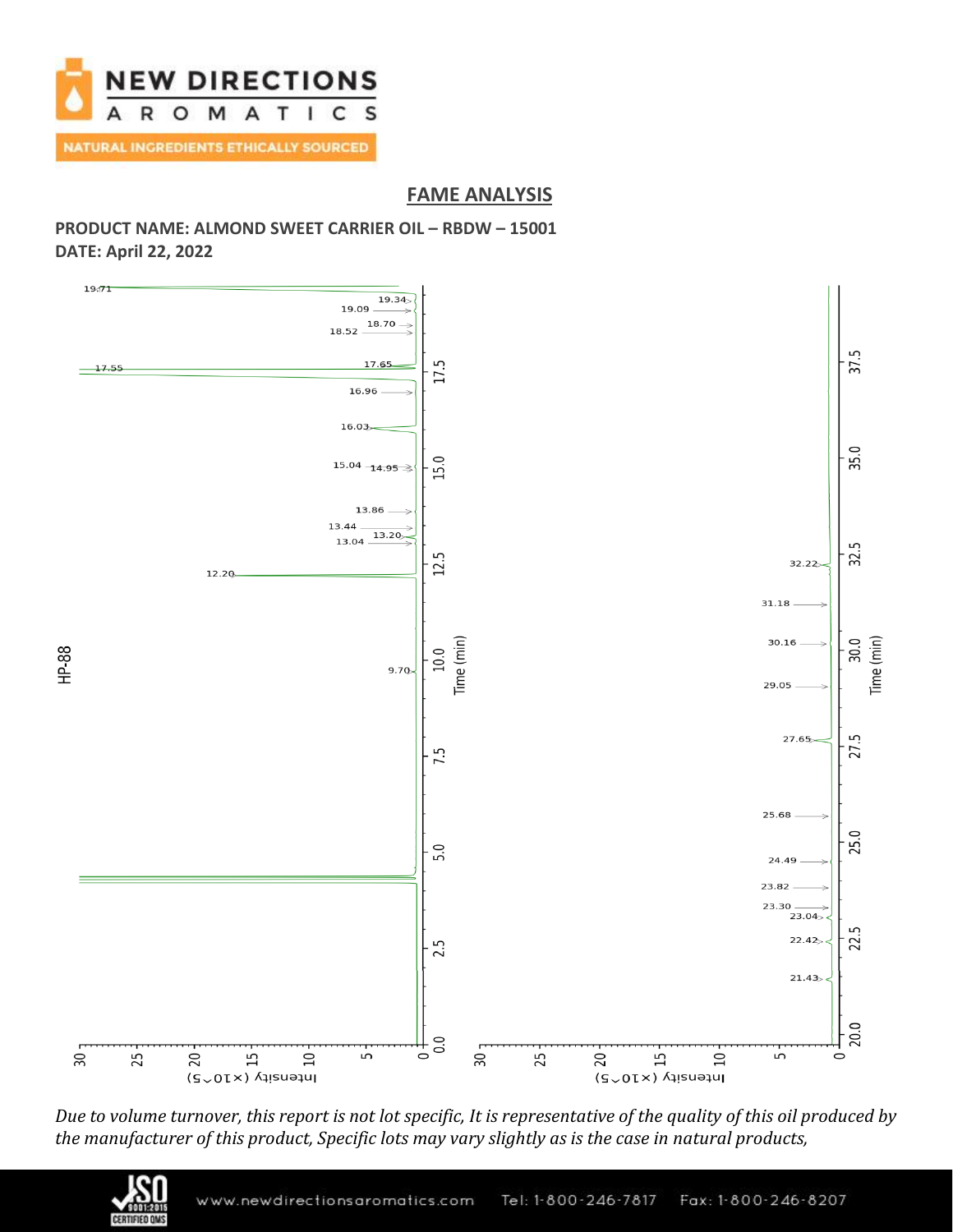

# **FAME ANALYSIS**

## **PRODUCT NAME: ALMOND SWEET CARRIER OIL – RBDW – 15001 DATE: April 22, 2022**



*Due to volume turnover, this report is not lot specific, It is representative of the quality of this oil produced by the manufacturer of this product, Specific lots may vary slightly as is the case in natural products,*